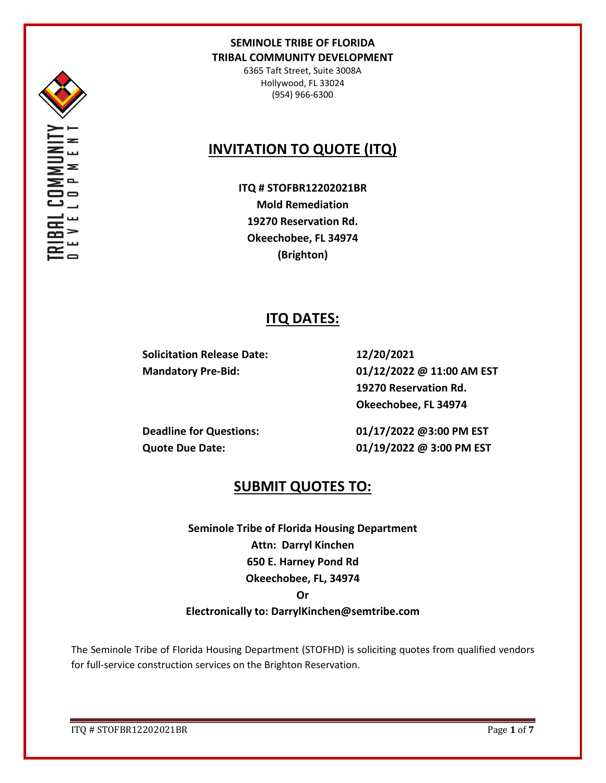

6365 Taft Street, Suite 3008A Hollywood, FL 33024 (954) 966-6300

# **INVITATION TO QUOTE (ITQ)**

**ITQ # STOFBR12202021BR Mold Remediation 19270 Reservation Rd. Okeechobee, FL 34974 (Brighton)**

## **ITQ DATES:**

**Solicitation Release Date: 12/20/2021**

**Mandatory Pre-Bid: 01/12/2022 @ 11:00 AM EST 19270 Reservation Rd. Okeechobee, FL 34974**

**Deadline for Questions: 01/17/2022 @3:00 PM EST Quote Due Date: 01/19/2022 @ 3:00 PM EST**

## **SUBMIT QUOTES TO:**

**Seminole Tribe of Florida Housing Department Attn: Darryl Kinchen 650 E. Harney Pond Rd Okeechobee, FL, 34974**

#### **Or**

### **Electronically to: DarrylKinchen@semtribe.com**

The Seminole Tribe of Florida Housing Department (STOFHD) is soliciting quotes from qualified vendors for full-service construction services on the Brighton Reservation.

ITQ # STOFBR12202021BR Page **1** of **7**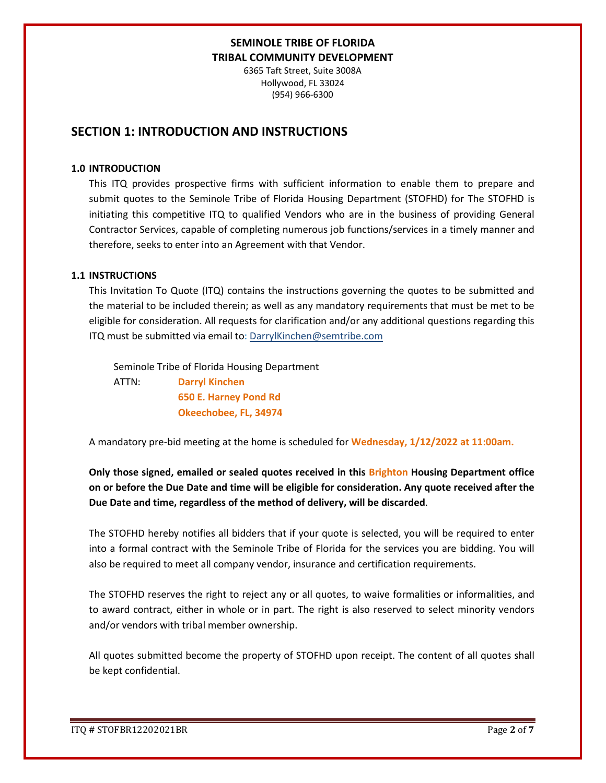6365 Taft Street, Suite 3008A Hollywood, FL 33024 (954) 966-6300

## **SECTION 1: INTRODUCTION AND INSTRUCTIONS**

#### **1.0 INTRODUCTION**

This ITQ provides prospective firms with sufficient information to enable them to prepare and submit quotes to the Seminole Tribe of Florida Housing Department (STOFHD) for The STOFHD is initiating this competitive ITQ to qualified Vendors who are in the business of providing General Contractor Services, capable of completing numerous job functions/services in a timely manner and therefore, seeks to enter into an Agreement with that Vendor.

#### **1.1 INSTRUCTIONS**

This Invitation To Quote (ITQ) contains the instructions governing the quotes to be submitted and the material to be included therein; as well as any mandatory requirements that must be met to be eligible for consideration. All requests for clarification and/or any additional questions regarding this ITQ must be submitted via email to: DarrylKinchen@semtribe.com

 Seminole Tribe of Florida Housing Department ATTN: **Darryl Kinchen**

 **650 E. Harney Pond Rd Okeechobee, FL, 34974**

A mandatory pre-bid meeting at the home is scheduled for **Wednesday, 1/12/2022 at 11:00am.**

**Only those signed, emailed or sealed quotes received in this Brighton Housing Department office on or before the Due Date and time will be eligible for consideration. Any quote received after the Due Date and time, regardless of the method of delivery, will be discarded**.

The STOFHD hereby notifies all bidders that if your quote is selected, you will be required to enter into a formal contract with the Seminole Tribe of Florida for the services you are bidding. You will also be required to meet all company vendor, insurance and certification requirements.

The STOFHD reserves the right to reject any or all quotes, to waive formalities or informalities, and to award contract, either in whole or in part. The right is also reserved to select minority vendors and/or vendors with tribal member ownership.

All quotes submitted become the property of STOFHD upon receipt. The content of all quotes shall be kept confidential.

ITQ # STOFBR12202021BR Page **2** of **7**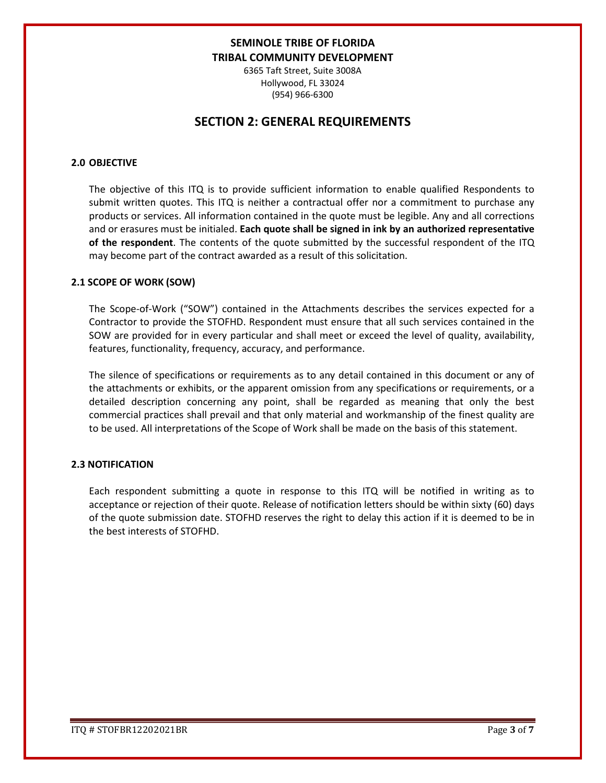6365 Taft Street, Suite 3008A Hollywood, FL 33024 (954) 966-6300

## **SECTION 2: GENERAL REQUIREMENTS**

#### **2.0 OBJECTIVE**

The objective of this ITQ is to provide sufficient information to enable qualified Respondents to submit written quotes. This ITQ is neither a contractual offer nor a commitment to purchase any products or services. All information contained in the quote must be legible. Any and all corrections and or erasures must be initialed. **Each quote shall be signed in ink by an authorized representative of the respondent**. The contents of the quote submitted by the successful respondent of the ITQ may become part of the contract awarded as a result of this solicitation.

#### **2.1 SCOPE OF WORK (SOW)**

The Scope-of-Work ("SOW") contained in the Attachments describes the services expected for a Contractor to provide the STOFHD. Respondent must ensure that all such services contained in the SOW are provided for in every particular and shall meet or exceed the level of quality, availability, features, functionality, frequency, accuracy, and performance.

The silence of specifications or requirements as to any detail contained in this document or any of the attachments or exhibits, or the apparent omission from any specifications or requirements, or a detailed description concerning any point, shall be regarded as meaning that only the best commercial practices shall prevail and that only material and workmanship of the finest quality are to be used. All interpretations of the Scope of Work shall be made on the basis of this statement.

#### **2.3 NOTIFICATION**

Each respondent submitting a quote in response to this ITQ will be notified in writing as to acceptance or rejection of their quote. Release of notification letters should be within sixty (60) days of the quote submission date. STOFHD reserves the right to delay this action if it is deemed to be in the best interests of STOFHD.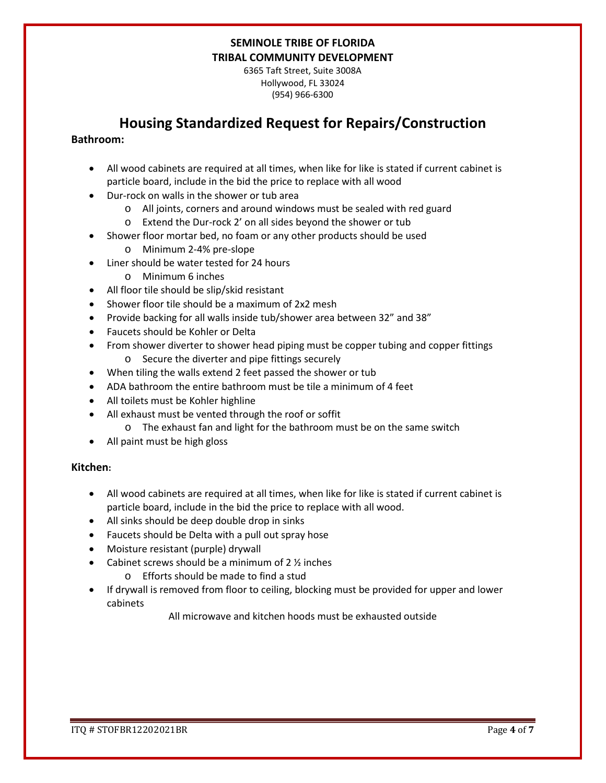6365 Taft Street, Suite 3008A Hollywood, FL 33024 (954) 966-6300

## **Housing Standardized Request for Repairs/Construction**

#### **Bathroom:**

- All wood cabinets are required at all times, when like for like is stated if current cabinet is particle board, include in the bid the price to replace with all wood
- Dur-rock on walls in the shower or tub area
	- o All joints, corners and around windows must be sealed with red guard
	- o Extend the Dur-rock 2' on all sides beyond the shower or tub
- Shower floor mortar bed, no foam or any other products should be used
	- o Minimum 2-4% pre-slope
- Liner should be water tested for 24 hours
	- o Minimum 6 inches
- All floor tile should be slip/skid resistant
- Shower floor tile should be a maximum of 2x2 mesh
- Provide backing for all walls inside tub/shower area between 32" and 38"
- Faucets should be Kohler or Delta
- From shower diverter to shower head piping must be copper tubing and copper fittings o Secure the diverter and pipe fittings securely
- When tiling the walls extend 2 feet passed the shower or tub
- ADA bathroom the entire bathroom must be tile a minimum of 4 feet
- All toilets must be Kohler highline
- All exhaust must be vented through the roof or soffit
	- o The exhaust fan and light for the bathroom must be on the same switch
- All paint must be high gloss

#### **Kitchen:**

- All wood cabinets are required at all times, when like for like is stated if current cabinet is particle board, include in the bid the price to replace with all wood.
- All sinks should be deep double drop in sinks
- Faucets should be Delta with a pull out spray hose
- Moisture resistant (purple) drywall
- Cabinet screws should be a minimum of  $2 \frac{1}{2}$  inches
	- o Efforts should be made to find a stud
- If drywall is removed from floor to ceiling, blocking must be provided for upper and lower cabinets

All microwave and kitchen hoods must be exhausted outside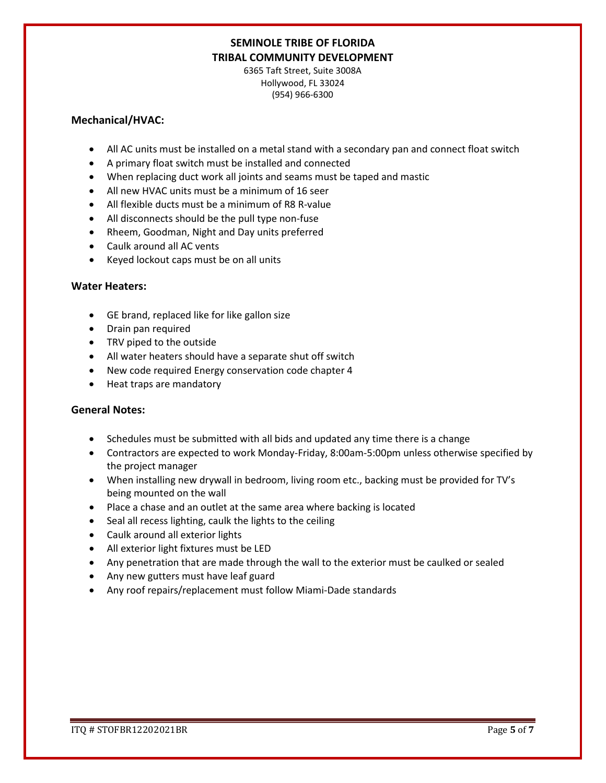6365 Taft Street, Suite 3008A Hollywood, FL 33024 (954) 966-6300

#### **Mechanical/HVAC:**

- All AC units must be installed on a metal stand with a secondary pan and connect float switch
- A primary float switch must be installed and connected
- When replacing duct work all joints and seams must be taped and mastic
- All new HVAC units must be a minimum of 16 seer
- All flexible ducts must be a minimum of R8 R-value
- All disconnects should be the pull type non-fuse
- Rheem, Goodman, Night and Day units preferred
- Caulk around all AC vents
- Keyed lockout caps must be on all units

#### **Water Heaters:**

- GE brand, replaced like for like gallon size
- Drain pan required
- TRV piped to the outside
- All water heaters should have a separate shut off switch
- New code required Energy conservation code chapter 4
- Heat traps are mandatory

#### **General Notes:**

- Schedules must be submitted with all bids and updated any time there is a change
- Contractors are expected to work Monday-Friday, 8:00am-5:00pm unless otherwise specified by the project manager
- When installing new drywall in bedroom, living room etc., backing must be provided for TV's being mounted on the wall
- Place a chase and an outlet at the same area where backing is located
- Seal all recess lighting, caulk the lights to the ceiling
- Caulk around all exterior lights
- All exterior light fixtures must be LED
- Any penetration that are made through the wall to the exterior must be caulked or sealed
- Any new gutters must have leaf guard
- Any roof repairs/replacement must follow Miami-Dade standards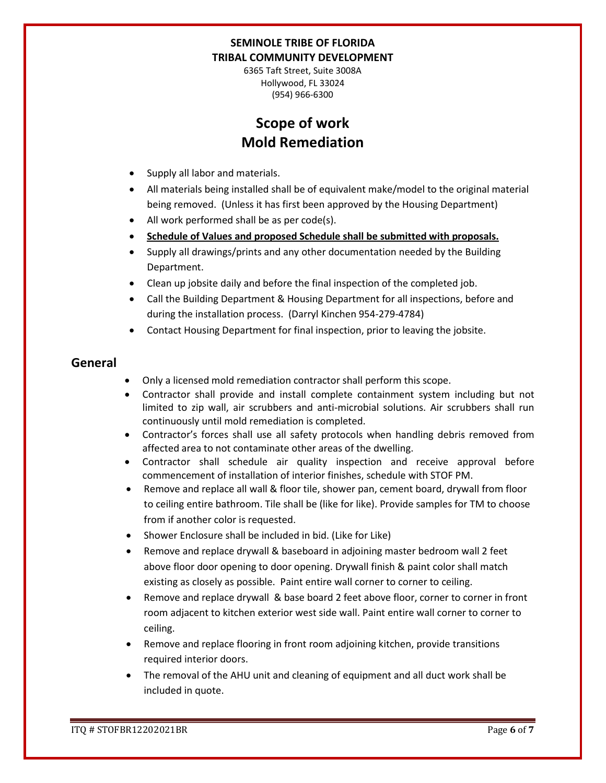6365 Taft Street, Suite 3008A Hollywood, FL 33024 (954) 966-6300

# **Scope of work Mold Remediation**

- Supply all labor and materials.
- All materials being installed shall be of equivalent make/model to the original material being removed. (Unless it has first been approved by the Housing Department)
- All work performed shall be as per code(s).
- **Schedule of Values and proposed Schedule shall be submitted with proposals.**
- Supply all drawings/prints and any other documentation needed by the Building Department.
- Clean up jobsite daily and before the final inspection of the completed job.
- Call the Building Department & Housing Department for all inspections, before and during the installation process. (Darryl Kinchen 954-279-4784)
- Contact Housing Department for final inspection, prior to leaving the jobsite.

## **General**

- Only a licensed mold remediation contractor shall perform this scope.
- Contractor shall provide and install complete containment system including but not limited to zip wall, air scrubbers and anti-microbial solutions. Air scrubbers shall run continuously until mold remediation is completed.
- Contractor's forces shall use all safety protocols when handling debris removed from affected area to not contaminate other areas of the dwelling.
- Contractor shall schedule air quality inspection and receive approval before commencement of installation of interior finishes, schedule with STOF PM.
- Remove and replace all wall & floor tile, shower pan, cement board, drywall from floor to ceiling entire bathroom. Tile shall be (like for like). Provide samples for TM to choose from if another color is requested.
- Shower Enclosure shall be included in bid. (Like for Like)
- Remove and replace drywall & baseboard in adjoining master bedroom wall 2 feet above floor door opening to door opening. Drywall finish & paint color shall match existing as closely as possible. Paint entire wall corner to corner to ceiling.
- Remove and replace drywall & base board 2 feet above floor, corner to corner in front room adjacent to kitchen exterior west side wall. Paint entire wall corner to corner to ceiling.
- Remove and replace flooring in front room adjoining kitchen, provide transitions required interior doors.
- The removal of the AHU unit and cleaning of equipment and all duct work shall be included in quote.